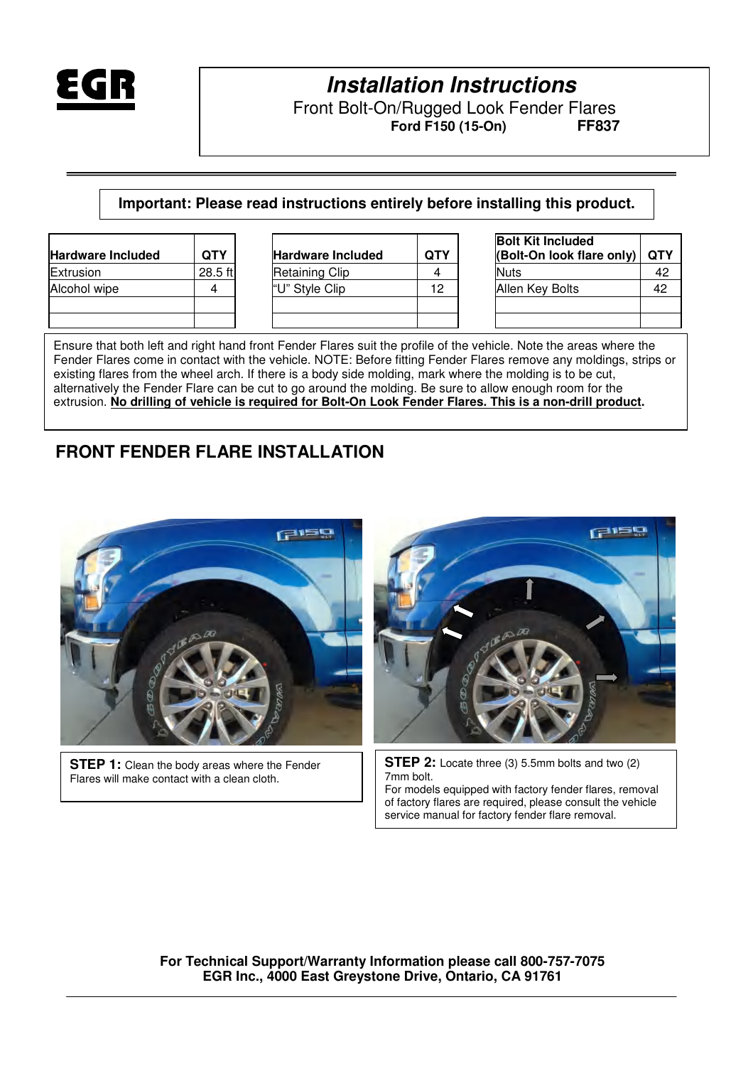

# **Installation Instructions**

Front Bolt-On/Rugged Look Fender Flares<br>Ferd F150 (15-On) Free Free  $Ford F150 (15-On)$ 

**Important: Please read instructions entirely before installing this product.** 

| <b>Hardware Included</b> | QTY     |
|--------------------------|---------|
| Extrusion                | 28.5 ft |
| Alcohol wipe             |         |
|                          |         |
|                          |         |

| <b>Hardware Included</b> | <b>QTY</b> | <b>Hardware Included</b> | <b>QTY</b> | <b>Bolt Kit Included</b><br>(Bolt-On look flare only) | <b>OTY</b> |
|--------------------------|------------|--------------------------|------------|-------------------------------------------------------|------------|
| Extrusion                | 28.5 ft    | <b>Retaining Clip</b>    |            | <b>Nuts</b>                                           | 42         |
| Alcohol wipe             |            | "U" Style Clip           | 12         | Allen Key Bolts                                       | 42         |
|                          |            |                          |            |                                                       |            |
|                          |            |                          |            |                                                       |            |

| <b>Bolt Kit Included</b><br>(Bolt-On look flare only) | <b>QTY</b> |
|-------------------------------------------------------|------------|
| Nuts                                                  | 42         |
| Allen Key Bolts                                       | 42         |
|                                                       |            |
|                                                       |            |

Ensure that both left and right hand front Fender Flares suit the profile of the vehicle. Note the areas where the Fender Flares come in contact with the vehicle. NOTE: Before fitting Fender Flares remove any moldings, strips or existing flares from the wheel arch. If there is a body side molding, mark where the molding is to be cut, alternatively the Fender Flare can be cut to go around the molding. Be sure to allow enough room for the extrusion. **No drilling of vehicle is required for Bolt-On Look Fender Flares. This is a non-drill product.** 

### **FRONT FENDER FLARE INSTALLATION**



**STEP 1:** Clean the body areas where the Fender Flares will make contact with a clean cloth.



**STEP 2:** Locate three (3) 5.5mm bolts and two (2) 7mm bolt.

For models equipped with factory fender flares, removal of factory flares are required, please consult the vehicle service manual for factory fender flare removal.

**For Technical Support/Warranty Information please call 800-757-7075 EGR Inc., 4000 East Greystone Drive, Ontario, CA 91761**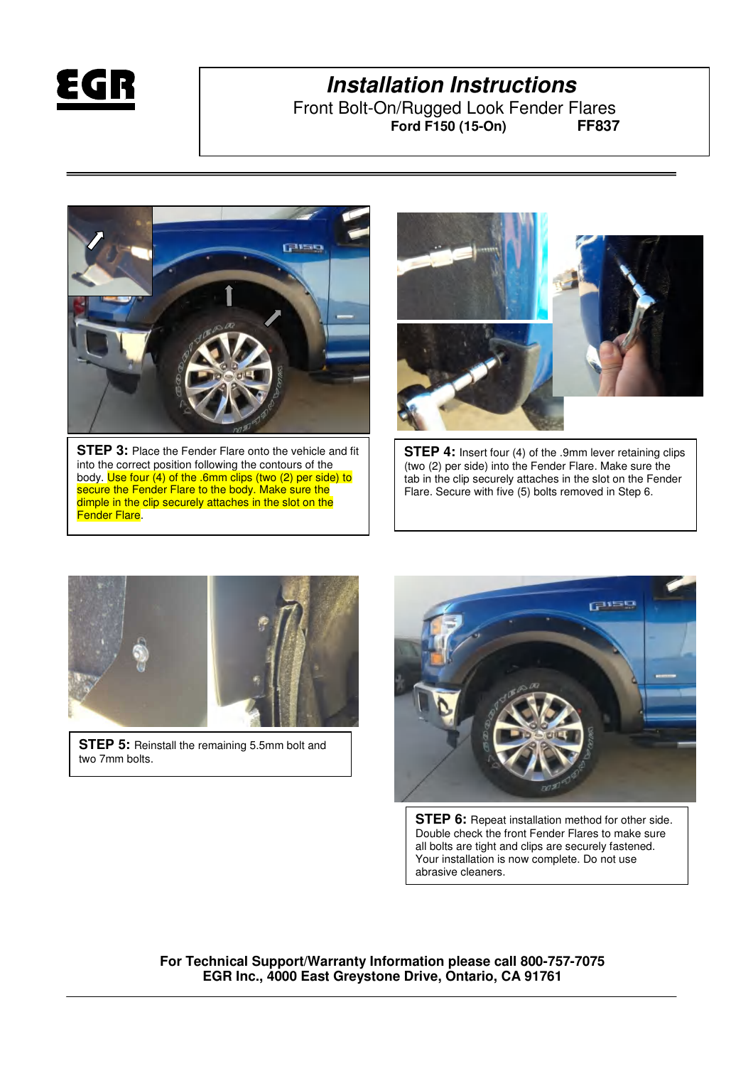

## **Installation Instructions**

Front Bolt-On/Rugged Look Fender Flares<br>Ferd F150 (15-On) Free Free  $Ford F150 (15-On)$ 



**STEP 3:** Place the Fender Flare onto the vehicle and fit into the correct position following the contours of the body. Use four (4) of the .6mm clips (two (2) per side) to secure the Fender Flare to the body. Make sure the dimple in the clip securely attaches in the slot on the Fender Flare.



**STEP 4:** Insert four (4) of the .9mm lever retaining clips (two (2) per side) into the Fender Flare. Make sure the tab in the clip securely attaches in the slot on the Fender Flare. Secure with five (5) bolts removed in Step 6.



**STEP 5:** Reinstall the remaining 5.5mm bolt and two 7mm bolts.



**STEP 6:** Repeat installation method for other side. Double check the front Fender Flares to make sure all bolts are tight and clips are securely fastened. Your installation is now complete. Do not use abrasive cleaners.

**For Technical Support/Warranty Information please call 800-757-7075 EGR Inc., 4000 East Greystone Drive, Ontario, CA 91761**